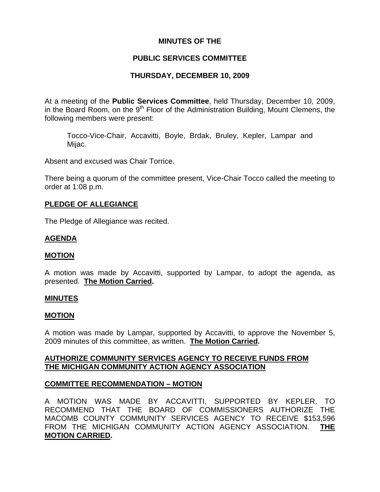### **MINUTES OF THE**

## **PUBLIC SERVICES COMMITTEE**

## **THURSDAY, DECEMBER 10, 2009**

At a meeting of the **Public Services Committee**, held Thursday, December 10, 2009, in the Board Room, on the  $9<sup>th</sup>$  Floor of the Administration Building, Mount Clemens, the following members were present:

Tocco-Vice-Chair, Accavitti, Boyle, Brdak, Bruley, Kepler, Lampar and Mijac.

Absent and excused was Chair Torrice.

There being a quorum of the committee present, Vice-Chair Tocco called the meeting to order at 1:08 p.m.

### **PLEDGE OF ALLEGIANCE**

The Pledge of Allegiance was recited.

### **AGENDA**

#### **MOTION**

A motion was made by Accavitti, supported by Lampar, to adopt the agenda, as presented. **The Motion Carried.** 

#### **MINUTES**

#### **MOTION**

A motion was made by Lampar, supported by Accavitti, to approve the November 5, 2009 minutes of this committee, as written. **The Motion Carried.** 

### **AUTHORIZE COMMUNITY SERVICES AGENCY TO RECEIVE FUNDS FROM THE MICHIGAN COMMUNITY ACTION AGENCY ASSOCIATION**

#### **COMMITTEE RECOMMENDATION – MOTION**

A MOTION WAS MADE BY ACCAVITTI, SUPPORTED BY KEPLER, TO RECOMMEND THAT THE BOARD OF COMMISSIONERS AUTHORIZE THE MACOMB COUNTY COMMUNITY SERVICES AGENCY TO RECEIVE \$153,596 FROM THE MICHIGAN COMMUNITY ACTION AGENCY ASSOCIATION. **THE MOTION CARRIED.**